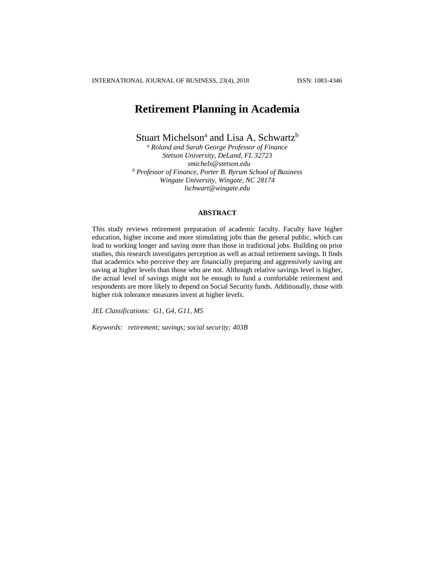# **Retirement Planning in Academia**

Stuart Michelson<sup>a</sup> and Lisa A. Schwartz<sup>b</sup>

*<sup>a</sup> Roland and Sarah George Professor of Finance Stetson University, DeLand, FL 32723 smichels@stetson.edu <sup>b</sup> Professor of Finance, Porter B. Byrum School of Business Wingate University, Wingate, NC 28174 lschwart@wingate.edu*

### **ABSTRACT**

This study reviews retirement preparation of academic faculty. Faculty have higher education, higher income and more stimulating jobs than the general public, which can lead to working longer and saving more than those in traditional jobs. Building on prior studies, this research investigates perception as well as actual retirement savings. It finds that academics who perceive they are financially preparing and aggressively saving are saving at higher levels than those who are not. Although relative savings level is higher, the actual level of savings might not be enough to fund a comfortable retirement and respondents are more likely to depend on Social Security funds. Additionally, those with higher risk tolerance measures invest at higher levels.

*JEL Classifications: G1, G4, G11, M5*

*Keywords: retirement; savings; social security; 403B*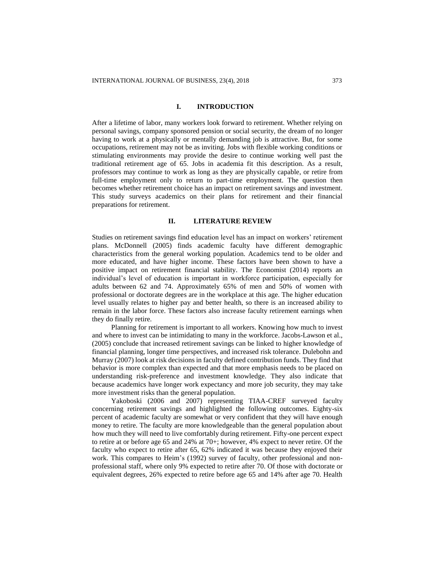#### **I. INTRODUCTION**

After a lifetime of labor, many workers look forward to retirement. Whether relying on personal savings, company sponsored pension or social security, the dream of no longer having to work at a physically or mentally demanding job is attractive. But, for some occupations, retirement may not be as inviting. Jobs with flexible working conditions or stimulating environments may provide the desire to continue working well past the traditional retirement age of 65. Jobs in academia fit this description. As a result, professors may continue to work as long as they are physically capable, or retire from full-time employment only to return to part-time employment. The question then becomes whether retirement choice has an impact on retirement savings and investment. This study surveys academics on their plans for retirement and their financial preparations for retirement.

#### **II. LITERATURE REVIEW**

Studies on retirement savings find education level has an impact on workers' retirement plans. McDonnell (2005) finds academic faculty have different demographic characteristics from the general working population. Academics tend to be older and more educated, and have higher income. These factors have been shown to have a positive impact on retirement financial stability. The Economist (2014) reports an individual's level of education is important in workforce participation, especially for adults between 62 and 74. Approximately 65% of men and 50% of women with professional or doctorate degrees are in the workplace at this age. The higher education level usually relates to higher pay and better health, so there is an increased ability to remain in the labor force. These factors also increase faculty retirement earnings when they do finally retire.

Planning for retirement is important to all workers. Knowing how much to invest and where to invest can be intimidating to many in the workforce. Jacobs-Lawson et al., (2005) conclude that increased retirement savings can be linked to higher knowledge of financial planning, longer time perspectives, and increased risk tolerance. Dulebohn and Murray (2007) look at risk decisions in faculty defined contribution funds. They find that behavior is more complex than expected and that more emphasis needs to be placed on understanding risk-preference and investment knowledge. They also indicate that because academics have longer work expectancy and more job security, they may take more investment risks than the general population.

Yakoboski (2006 and 2007) representing TIAA-CREF surveyed faculty concerning retirement savings and highlighted the following outcomes. Eighty-six percent of academic faculty are somewhat or very confident that they will have enough money to retire. The faculty are more knowledgeable than the general population about how much they will need to live comfortably during retirement. Fifty-one percent expect to retire at or before age 65 and 24% at 70+; however, 4% expect to never retire. Of the faculty who expect to retire after 65, 62% indicated it was because they enjoyed their work. This compares to Heim's (1992) survey of faculty, other professional and nonprofessional staff, where only 9% expected to retire after 70. Of those with doctorate or equivalent degrees, 26% expected to retire before age 65 and 14% after age 70. Health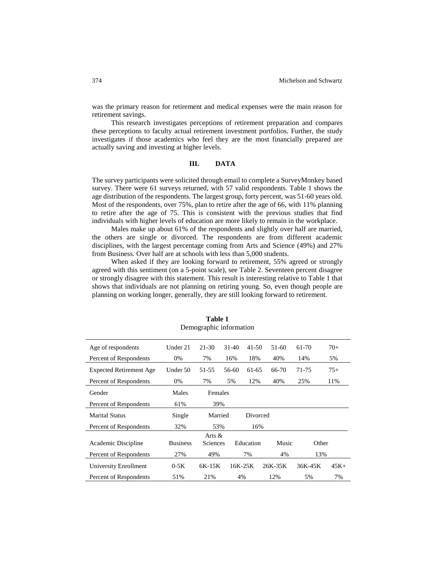was the primary reason for retirement and medical expenses were the main reason for retirement savings.

This research investigates perceptions of retirement preparation and compares these perceptions to faculty actual retirement investment portfolios. Further, the study investigates if those academics who feel they are the most financially prepared are actually saving and investing at higher levels.

### **III. DATA**

The survey participants were solicited through email to complete a SurveyMonkey based survey. There were 61 surveys returned, with 57 valid respondents. Table 1 shows the age distribution of the respondents. The largest group, forty percent, was 51-60 years old. Most of the respondents, over 75%, plan to retire after the age of 66, with 11% planning to retire after the age of 75. This is consistent with the previous studies that find individuals with higher levels of education are more likely to remain in the workplace.

Males make up about 61% of the respondents and slightly over half are married, the others are single or divorced. The respondents are from different academic disciplines, with the largest percentage coming from Arts and Science (49%) and 27% from Business. Over half are at schools with less than 5,000 students.

When asked if they are looking forward to retirement, 55% agreed or strongly agreed with this sentiment (on a 5-point scale), see Table 2. Seventeen percent disagree or strongly disagree with this statement. This result is interesting relative to Table 1 that shows that individuals are not planning on retiring young. So, even though people are planning on working longer, generally, they are still looking forward to retirement.

| Age of respondents             | Under 21        | 21-30     | $31-40$   | 41-50     | 51-60   | 61-70   | $70+$   |
|--------------------------------|-----------------|-----------|-----------|-----------|---------|---------|---------|
| Percent of Respondents         | 0%              | 7%        | 16%       | 18%       | 40%     | 14%     | 5%      |
| <b>Expected Retirement Age</b> | Under 50        | 51-55     | 56-60     | 61-65     | 66-70   | 71-75   | $75+$   |
| Percent of Respondents         | 0%              | 7%        | 5%        | 12%       | 40%     | 25%     | 11%     |
| Gender                         | Males           | Females   |           |           |         |         |         |
| Percent of Respondents         | 61%             | 39%       |           |           |         |         |         |
| <b>Marital Status</b>          | Single          | Married   |           | Divorced  |         |         |         |
| Percent of Respondents         | 32%             | 53%       |           | 16%       |         |         |         |
|                                |                 | Arts $\&$ |           |           |         |         |         |
| Academic Discipline            | <b>Business</b> | Sciences  |           | Education | Music   | Other   |         |
| Percent of Respondents         | 27%             | 49%       |           | 7%        | 4%      | 13%     |         |
| University Enrollment          | $0-5K$          | $6K-15K$  | $16K-25K$ |           | 26K-35K | 36K-45K | $45K +$ |
| Percent of Respondents         | 51%             | 21%       | 4%        |           | 12%     | 5%      | 7%      |

**Table 1** Demographic information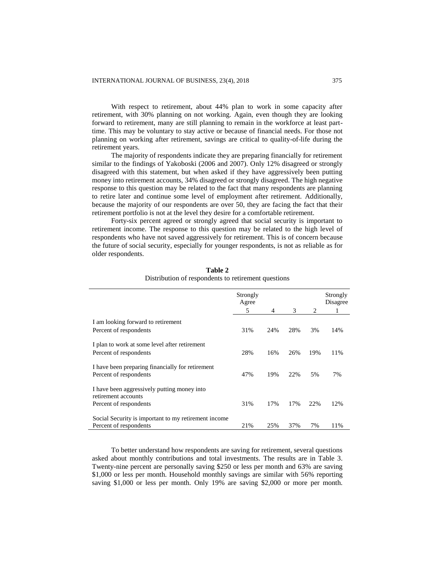With respect to retirement, about 44% plan to work in some capacity after retirement, with 30% planning on not working. Again, even though they are looking forward to retirement, many are still planning to remain in the workforce at least parttime. This may be voluntary to stay active or because of financial needs. For those not planning on working after retirement, savings are critical to quality-of-life during the retirement years.

The majority of respondents indicate they are preparing financially for retirement similar to the findings of Yakoboski (2006 and 2007). Only 12% disagreed or strongly disagreed with this statement, but when asked if they have aggressively been putting money into retirement accounts, 34% disagreed or strongly disagreed. The high negative response to this question may be related to the fact that many respondents are planning to retire later and continue some level of employment after retirement. Additionally, because the majority of our respondents are over 50, they are facing the fact that their retirement portfolio is not at the level they desire for a comfortable retirement.

Forty-six percent agreed or strongly agreed that social security is important to retirement income. The response to this question may be related to the high level of respondents who have not saved aggressively for retirement. This is of concern because the future of social security, especially for younger respondents, is not as reliable as for older respondents.

|                                                      | Strongly<br>Agree<br>5 | 4   | 3   | 2   | Strongly<br>Disagree<br>1 |
|------------------------------------------------------|------------------------|-----|-----|-----|---------------------------|
|                                                      |                        |     |     |     |                           |
| I am looking forward to retirement                   |                        |     |     |     |                           |
| Percent of respondents                               | 31%                    | 24% | 28% | 3%  | 14%                       |
|                                                      |                        |     |     |     |                           |
| I plan to work at some level after retirement        | 28%                    | 16% | 26% | 19% |                           |
| Percent of respondents                               |                        |     |     |     | 11%                       |
| I have been preparing financially for retirement     |                        |     |     |     |                           |
| Percent of respondents                               | 47%                    | 19% | 22% | 5%  | 7%                        |
|                                                      |                        |     |     |     |                           |
| I have been aggressively putting money into          |                        |     |     |     |                           |
| retirement accounts                                  |                        |     |     |     |                           |
| Percent of respondents                               | 31%                    | 17% | 17% | 22% | 12%                       |
|                                                      |                        |     |     |     |                           |
| Social Security is important to my retirement income |                        |     |     |     |                           |
| Percent of respondents                               | 21%                    | 25% | 37% | 7%  | 11%                       |

**Table 2** Distribution of respondents to retirement questions

To better understand how respondents are saving for retirement, several questions asked about monthly contributions and total investments. The results are in Table 3. Twenty-nine percent are personally saving \$250 or less per month and 63% are saving \$1,000 or less per month. Household monthly savings are similar with 56% reporting saving \$1,000 or less per month. Only 19% are saving \$2,000 or more per month.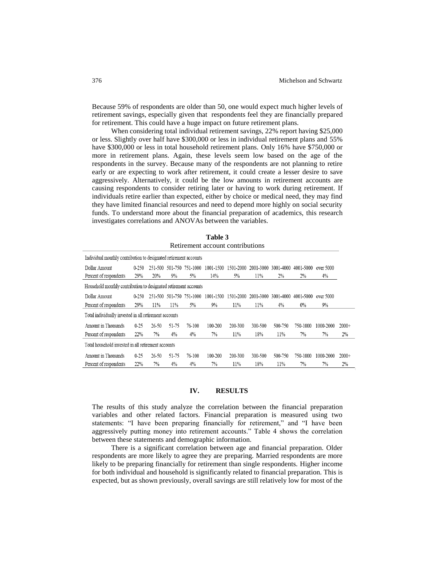Because 59% of respondents are older than 50, one would expect much higher levels of retirement savings, especially given that respondents feel they are financially prepared for retirement. This could have a huge impact on future retirement plans.

When considering total individual retirement savings, 22% report having \$25,000 or less. Slightly over half have \$300,000 or less in individual retirement plans and 55% have \$300,000 or less in total household retirement plans. Only 16% have \$750,000 or more in retirement plans. Again, these levels seem low based on the age of the respondents in the survey. Because many of the respondents are not planning to retire early or are expecting to work after retirement, it could create a lesser desire to save aggressively. Alternatively, it could be the low amounts in retirement accounts are causing respondents to consider retiring later or having to work during retirement. If individuals retire earlier than expected, either by choice or medical need, they may find they have limited financial resources and need to depend more highly on social security funds. To understand more about the financial preparation of academics, this research investigates correlations and ANOVAs between the variables.

| Retirement account contributions                                  |           |         |       |                          |           |           |           |           |           |           |         |
|-------------------------------------------------------------------|-----------|---------|-------|--------------------------|-----------|-----------|-----------|-----------|-----------|-----------|---------|
| Individual monthly contribution to designated retirement accounts |           |         |       |                          |           |           |           |           |           |           |         |
| Dollar Amount                                                     | $0 - 250$ |         |       | 251-500 501-750 751-1000 | 1001-1500 | 1501-2000 | 2001-3000 | 3001-4000 | 4001-5000 | over 5000 |         |
| Percent of respondents                                            | 29%       | 20%     | 9%    | 5%                       | 14%       | 5%        | 11%       | 2%        | 2%        | 4%        |         |
| Household monthly contribution to designated retirement accounts  |           |         |       |                          |           |           |           |           |           |           |         |
| Dollar Amount                                                     | $0 - 250$ | 251-500 |       | 501-750 751-1000         | 1001-1500 | 1501-2000 | 2001-3000 | 3001-4000 | 4001-5000 | over 5000 |         |
| Percent of respondents                                            | 29%       | 11%     | 11%   | 5%                       | 9%        | 11%       | 11%       | $4\%$     | $0\%$     | 9%        |         |
| Total individually invested in all retirement accounts            |           |         |       |                          |           |           |           |           |           |           |         |
| Amount in Thousands                                               | $0 - 25$  | 26-50   | 51-75 | 76-100                   | 100-200   | 200-300   | 300-500   | 500-750   | 750-1000  | 1000-2000 | $2000+$ |
| Percent of respondents                                            | 22%       | 7%      | $4\%$ | $4\%$                    | 7%        | 11%       | 18%       | 11%       | 7%        | 7%        | 2%      |
| Total household invested in all retirement accounts               |           |         |       |                          |           |           |           |           |           |           |         |
| Amount in Thousands                                               | $0 - 25$  | 26-50   | 51-75 | 76-100                   | 100-200   | 200-300   | 300-500   | 500-750   | 750-1000  | 1000-2000 | $2000+$ |
| Percent of respondents                                            | 22%       | 7%      | 4%    | 4%                       | 7%        | 11%       | 18%       | 11%       | 7%        | 7%        | 2%      |

# **Table 3** Retirement account contributions

### **IV. RESULTS**

The results of this study analyze the correlation between the financial preparation variables and other related factors. Financial preparation is measured using two statements: "I have been preparing financially for retirement," and "I have been aggressively putting money into retirement accounts." Table 4 shows the correlation between these statements and demographic information.

There is a significant correlation between age and financial preparation. Older respondents are more likely to agree they are preparing. Married respondents are more likely to be preparing financially for retirement than single respondents. Higher income for both individual and household is significantly related to financial preparation. This is expected, but as shown previously, overall savings are still relatively low for most of the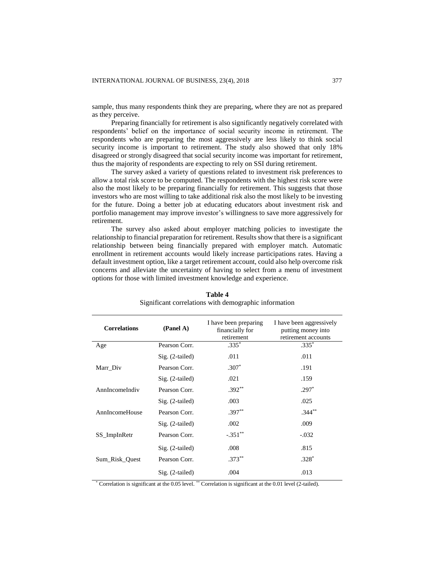sample, thus many respondents think they are preparing, where they are not as prepared as they perceive.

Preparing financially for retirement is also significantly negatively correlated with respondents' belief on the importance of social security income in retirement. The respondents who are preparing the most aggressively are less likely to think social security income is important to retirement. The study also showed that only 18% disagreed or strongly disagreed that social security income was important for retirement, thus the majority of respondents are expecting to rely on SSI during retirement.

The survey asked a variety of questions related to investment risk preferences to allow a total risk score to be computed. The respondents with the highest risk score were also the most likely to be preparing financially for retirement. This suggests that those investors who are most willing to take additional risk also the most likely to be investing for the future. Doing a better job at educating educators about investment risk and portfolio management may improve investor's willingness to save more aggressively for retirement.

The survey also asked about employer matching policies to investigate the relationship to financial preparation for retirement. Results show that there is a significant relationship between being financially prepared with employer match. Automatic enrollment in retirement accounts would likely increase participations rates. Having a default investment option, like a target retirement account, could also help overcome risk concerns and alleviate the uncertainty of having to select from a menu of investment options for those with limited investment knowledge and experience.

| <b>Correlations</b> | (Panel A)         | I have been preparing<br>financially for<br>retirement | I have been aggressively<br>putting money into<br>retirement accounts |
|---------------------|-------------------|--------------------------------------------------------|-----------------------------------------------------------------------|
| Age                 | Pearson Corr.     | $.335*$                                                | $.335*$                                                               |
|                     | $Sig. (2-tailed)$ | .011                                                   | .011                                                                  |
| Marr_Div            | Pearson Corr.     | $.307*$                                                | .191                                                                  |
|                     | $Sig. (2-tailed)$ | .021                                                   | .159                                                                  |
| AnnIncomeIndiv      | Pearson Corr.     | $.392**$                                               | $.297*$                                                               |
|                     | $Sig. (2-tailed)$ | .003                                                   | .025                                                                  |
| AnnIncomeHouse      | Pearson Corr.     | $.397**$                                               | $.344***$                                                             |
|                     | $Sig. (2-tailed)$ | .002                                                   | .009                                                                  |
| SS_ImpInRetr        | Pearson Corr.     | $-.351**$                                              | $-.032$                                                               |
|                     | Sig. (2-tailed)   | .008                                                   | .815                                                                  |
| Sum Risk Quest      | Pearson Corr.     | $.373**$                                               | $.328*$                                                               |
|                     | Sig. (2-tailed)   | .004                                                   | .013                                                                  |

**Table 4** Significant correlations with demographic information

\* Correlation is significant at the 0.05 level. \*\* Correlation is significant at the 0.01 level (2-tailed).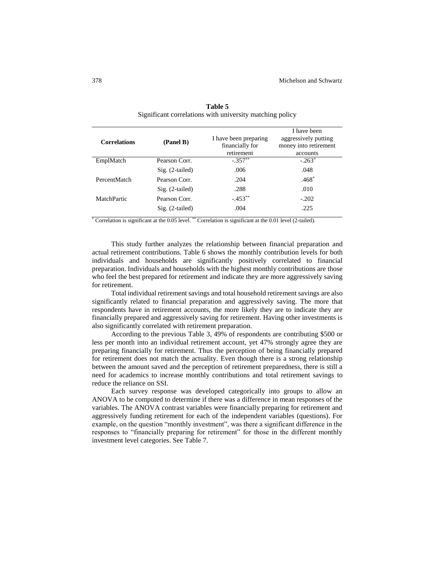| <b>Correlations</b> | (Panel B)         | I have been preparing<br>financially for<br>retirement | I have been<br>aggressively putting<br>money into retirement<br>accounts |
|---------------------|-------------------|--------------------------------------------------------|--------------------------------------------------------------------------|
| EmplMatch           | Pearson Corr.     | $-.357***$                                             | $-.263*$                                                                 |
|                     | $Sig. (2-tailed)$ | .006                                                   | .048                                                                     |
| PercentMatch        | Pearson Corr.     | .204                                                   | $.468*$                                                                  |
|                     | $Sig. (2-tailed)$ | .288                                                   | .010                                                                     |
| MatchPartic         | Pearson Corr.     | $-.453**$                                              | $-.202$                                                                  |
|                     | $Sig. (2-tailed)$ | .004                                                   | .225                                                                     |

**Table 5** Significant correlations with university matching policy

\* Correlation is significant at the 0.05 level. \*\* Correlation is significant at the 0.01 level (2-tailed).

This study further analyzes the relationship between financial preparation and actual retirement contributions. Table 6 shows the monthly contribution levels for both individuals and households are significantly positively correlated to financial preparation. Individuals and households with the highest monthly contributions are those who feel the best prepared for retirement and indicate they are more aggressively saving for retirement.

Total individual retirement savings and total household retirement savings are also significantly related to financial preparation and aggressively saving. The more that respondents have in retirement accounts, the more likely they are to indicate they are financially prepared and aggressively saving for retirement. Having other investments is also significantly correlated with retirement preparation.

According to the previous Table 3, 49% of respondents are contributing \$500 or less per month into an individual retirement account, yet 47% strongly agree they are preparing financially for retirement. Thus the perception of being financially prepared for retirement does not match the actuality. Even though there is a strong relationship between the amount saved and the perception of retirement preparedness, there is still a need for academics to increase monthly contributions and total retirement savings to reduce the reliance on SSI.

Each survey response was developed categorically into groups to allow an ANOVA to be computed to determine if there was a difference in mean responses of the variables. The ANOVA contrast variables were financially preparing for retirement and aggressively funding retirement for each of the independent variables (questions). For example, on the question "monthly investment", was there a significant difference in the responses to "financially preparing for retirement" for those in the different monthly investment level categories. See Table 7.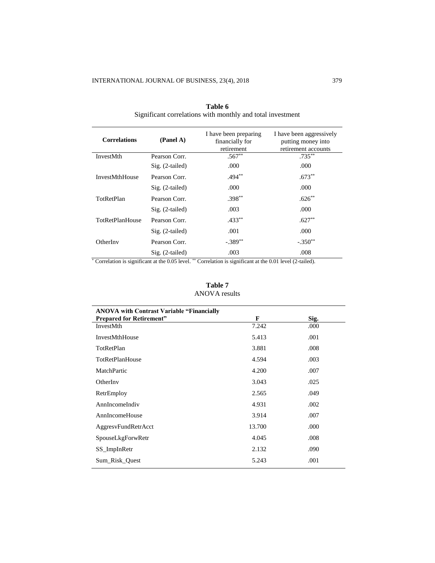| <b>Correlations</b>    | (Panel A)         | I have been preparing<br>financially for<br>retirement | I have been aggressively<br>putting money into<br>retirement accounts |
|------------------------|-------------------|--------------------------------------------------------|-----------------------------------------------------------------------|
| <b>InvestMth</b>       | Pearson Corr.     | $.567**$                                               | $.735***$                                                             |
|                        | $Sig. (2-tailed)$ | .000                                                   | .000                                                                  |
| <b>InvestMthHouse</b>  | Pearson Corr.     | $.494***$                                              | $.673**$                                                              |
|                        | $Sig. (2-tailed)$ | .000                                                   | .000                                                                  |
| TotRetPlan             | Pearson Corr.     | $.398***$                                              | $.626**$                                                              |
|                        | Sig. (2-tailed)   | .003                                                   | .000                                                                  |
| <b>TotRetPlanHouse</b> | Pearson Corr.     | $.433***$                                              | $.627**$                                                              |
|                        | $Sig. (2-tailed)$ | .001                                                   | .000.                                                                 |
| OtherInv               | Pearson Corr.     | $-.389**$                                              | $-.350**$                                                             |
|                        | $Sig. (2-tailed)$ | .003                                                   | .008                                                                  |

**Table 6** Significant correlations with monthly and total investment

\* Correlation is significant at the 0.05 level. \*\* Correlation is significant at the 0.01 level (2-tailed).

## **Table 7** ANOVA results

| <b>ANOVA</b> with Contrast Variable "Financially |        |      |
|--------------------------------------------------|--------|------|
| <b>Prepared for Retirement"</b>                  | F      | Sig. |
| InvestMth                                        | 7.242  | .000 |
| InvestMthHouse                                   | 5.413  | .001 |
| TotRetPlan                                       | 3.881  | .008 |
| TotRetPlanHouse                                  | 4.594  | .003 |
| MatchPartic                                      | 4.200  | .007 |
| OtherInv                                         | 3.043  | .025 |
| RetrEmploy                                       | 2.565  | .049 |
| AnnIncomeIndiv                                   | 4.931  | .002 |
| AnnIncomeHouse                                   | 3.914  | .007 |
| AggresvFundRetrAcct                              | 13.700 | .000 |
| SpouseLkgForwRetr                                | 4.045  | .008 |
| SS_ImpInRetr                                     | 2.132  | .090 |
| Sum Risk Quest                                   | 5.243  | .001 |
|                                                  |        |      |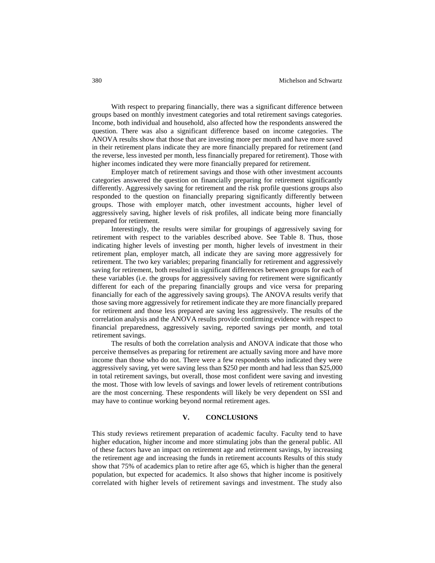With respect to preparing financially, there was a significant difference between groups based on monthly investment categories and total retirement savings categories. Income, both individual and household, also affected how the respondents answered the question. There was also a significant difference based on income categories. The ANOVA results show that those that are investing more per month and have more saved in their retirement plans indicate they are more financially prepared for retirement (and the reverse, less invested per month, less financially prepared for retirement). Those with higher incomes indicated they were more financially prepared for retirement.

Employer match of retirement savings and those with other investment accounts categories answered the question on financially preparing for retirement significantly differently. Aggressively saving for retirement and the risk profile questions groups also responded to the question on financially preparing significantly differently between groups. Those with employer match, other investment accounts, higher level of aggressively saving, higher levels of risk profiles, all indicate being more financially prepared for retirement.

Interestingly, the results were similar for groupings of aggressively saving for retirement with respect to the variables described above. See Table 8. Thus, those indicating higher levels of investing per month, higher levels of investment in their retirement plan, employer match, all indicate they are saving more aggressively for retirement. The two key variables; preparing financially for retirement and aggressively saving for retirement, both resulted in significant differences between groups for each of these variables (i.e. the groups for aggressively saving for retirement were significantly different for each of the preparing financially groups and vice versa for preparing financially for each of the aggressively saving groups). The ANOVA results verify that those saving more aggressively for retirement indicate they are more financially prepared for retirement and those less prepared are saving less aggressively. The results of the correlation analysis and the ANOVA results provide confirming evidence with respect to financial preparedness, aggressively saving, reported savings per month, and total retirement savings.

The results of both the correlation analysis and ANOVA indicate that those who perceive themselves as preparing for retirement are actually saving more and have more income than those who do not. There were a few respondents who indicated they were aggressively saving, yet were saving less than \$250 per month and had less than \$25,000 in total retirement savings, but overall, those most confident were saving and investing the most. Those with low levels of savings and lower levels of retirement contributions are the most concerning. These respondents will likely be very dependent on SSI and may have to continue working beyond normal retirement ages.

### **V. CONCLUSIONS**

This study reviews retirement preparation of academic faculty. Faculty tend to have higher education, higher income and more stimulating jobs than the general public. All of these factors have an impact on retirement age and retirement savings, by increasing the retirement age and increasing the funds in retirement accounts Results of this study show that 75% of academics plan to retire after age 65, which is higher than the general population, but expected for academics. It also shows that higher income is positively correlated with higher levels of retirement savings and investment. The study also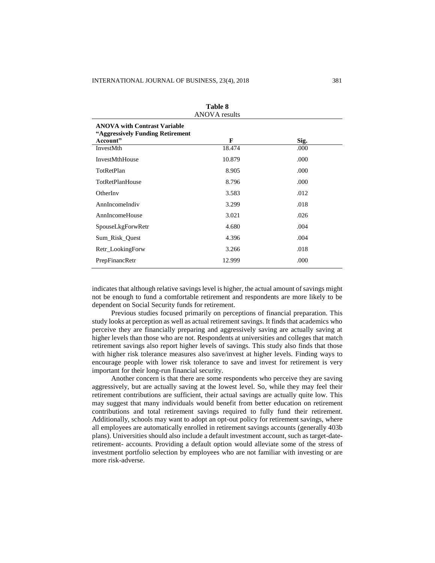| 1 apie 8<br><b>ANOVA</b> results                                                     |        |      |  |  |
|--------------------------------------------------------------------------------------|--------|------|--|--|
| <b>ANOVA with Contrast Variable</b><br>"Aggressively Funding Retirement"<br>Account" | F      | Sig. |  |  |
| InvestMth                                                                            | 18.474 | .000 |  |  |
| InvestMthHouse                                                                       | 10.879 | .000 |  |  |
| TotRetPlan                                                                           | 8.905  | .000 |  |  |
| <b>TotRetPlanHouse</b>                                                               | 8.796  | .000 |  |  |
| OtherInv                                                                             | 3.583  | .012 |  |  |
| AnnIncomeIndiv                                                                       | 3.299  | .018 |  |  |
| AnnIncomeHouse                                                                       | 3.021  | .026 |  |  |
| SpouseLkgForwRetr                                                                    | 4.680  | .004 |  |  |
| Sum_Risk_Quest                                                                       | 4.396  | .004 |  |  |
| Retr_LookingForw                                                                     | 3.266  | .018 |  |  |
| PrepFinancRetr                                                                       | 12.999 | .000 |  |  |
|                                                                                      |        |      |  |  |

| <b>Table 8</b> |  |
|----------------|--|
|                |  |

indicates that although relative savings level is higher, the actual amount of savings might not be enough to fund a comfortable retirement and respondents are more likely to be dependent on Social Security funds for retirement.

Previous studies focused primarily on perceptions of financial preparation. This study looks at perception as well as actual retirement savings. It finds that academics who perceive they are financially preparing and aggressively saving are actually saving at higher levels than those who are not. Respondents at universities and colleges that match retirement savings also report higher levels of savings. This study also finds that those with higher risk tolerance measures also save/invest at higher levels. Finding ways to encourage people with lower risk tolerance to save and invest for retirement is very important for their long-run financial security.

Another concern is that there are some respondents who perceive they are saving aggressively, but are actually saving at the lowest level. So, while they may feel their retirement contributions are sufficient, their actual savings are actually quite low. This may suggest that many individuals would benefit from better education on retirement contributions and total retirement savings required to fully fund their retirement. Additionally, schools may want to adopt an opt-out policy for retirement savings, where all employees are automatically enrolled in retirement savings accounts (generally 403b plans). Universities should also include a default investment account, such as target-dateretirement- accounts. Providing a default option would alleviate some of the stress of investment portfolio selection by employees who are not familiar with investing or are more risk-adverse.